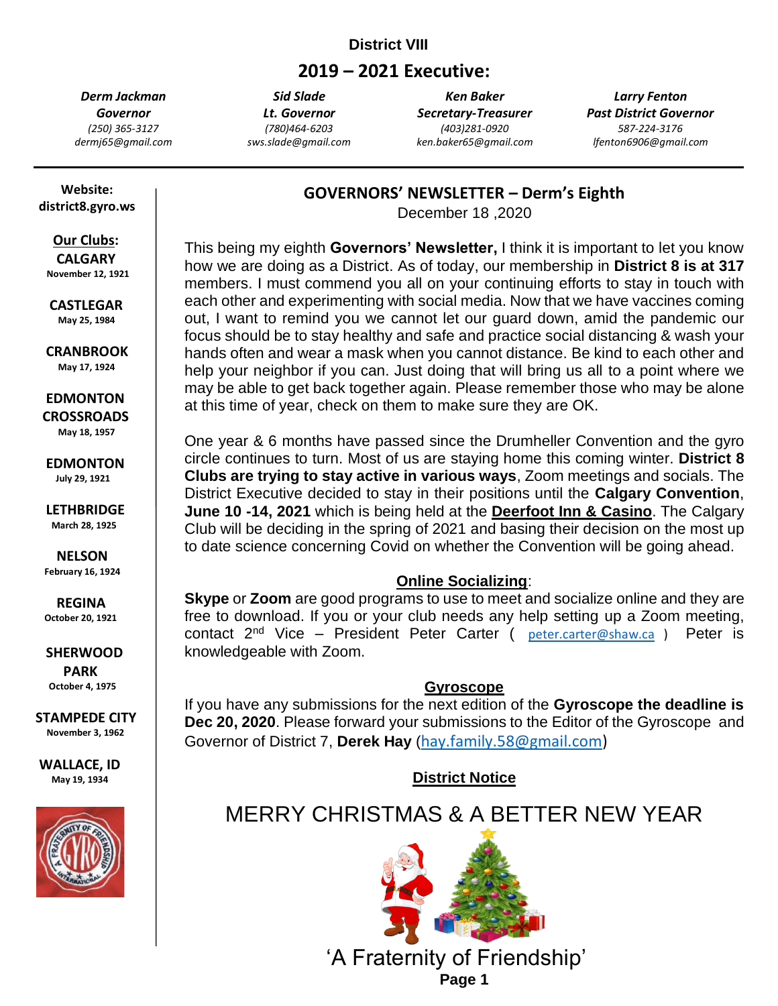# **District VIII**

# **2019 – 2021 Executive:**

*Derm Jackman Governor (250) 365-3127 dermj65@gmail.com*

*Sid Slade Lt. Governor (780)464-6203 sws.slade@gmail.com*

*Ken Baker Secretary-Treasurer (403)281-0920 ken.baker65@gmail.com*

*Larry Fenton Past District Governor 587-224-3176 lfenton6906@gmail.com*

 **Website: district8.gyro.ws**

 **Our Clubs: CALGARY November 12, 1921**

 **CASTLEGAR May 25, 1984**

 **CRANBROOK May 17, 1924**

 **EDMONTON**

 **CROSSROADS May 18, 1957**

 **EDMONTON July 29, 1921**

 **LETHBRIDGE March 28, 1925**

 **NELSON February 16, 1924**

 **REGINA October 20, 1921**

 **SHERWOOD PARK October 4, 1975**

**STAMPEDE CITY November 3, 1962**

**WALLACE, ID May 19, 1934**



**GOVERNORS' NEWSLETTER – Derm's Eighth**

December 18 ,2020

This being my eighth **Governors' Newsletter,** I think it is important to let you know how we are doing as a District. As of today, our membership in **District 8 is at 317** members. I must commend you all on your continuing efforts to stay in touch with each other and experimenting with social media. Now that we have vaccines coming out, I want to remind you we cannot let our guard down, amid the pandemic our focus should be to stay healthy and safe and practice social distancing & wash your hands often and wear a mask when you cannot distance. Be kind to each other and help your neighbor if you can. Just doing that will bring us all to a point where we may be able to get back together again. Please remember those who may be alone at this time of year, check on them to make sure they are OK.

One year & 6 months have passed since the Drumheller Convention and the gyro circle continues to turn. Most of us are staying home this coming winter. **District 8 Clubs are trying to stay active in various ways**, Zoom meetings and socials. The District Executive decided to stay in their positions until the **Calgary Convention**, **June 10 -14, 2021** which is being held at the **Deerfoot Inn & Casino**. The Calgary Club will be deciding in the spring of 2021 and basing their decision on the most up to date science concerning Covid on whether the Convention will be going ahead.

## **Online Socializing**:

**Skype** or **Zoom** are good programs to use to meet and socialize online and they are free to download. If you or your club needs any help setting up a Zoom meeting, contact  $2^{nd}$  Vice – President Peter Carter ( [peter.carter@shaw.ca](mailto:peter.carter@shaw.ca) ) Peter is knowledgeable with Zoom.

## **Gyroscope**

If you have any submissions for the next edition of the **Gyroscope the deadline is Dec 20, 2020**. Please forward your submissions to the Editor of the Gyroscope and Governor of District 7, **Derek Hay** ([hay.family.58@gmail.com\)](mailto:hay.family.58@gmail.com)

**District Notice**

# MERRY CHRISTMAS & A BETTER NEW YEAR



 'A Fraternity of Friendship' **Page 1**